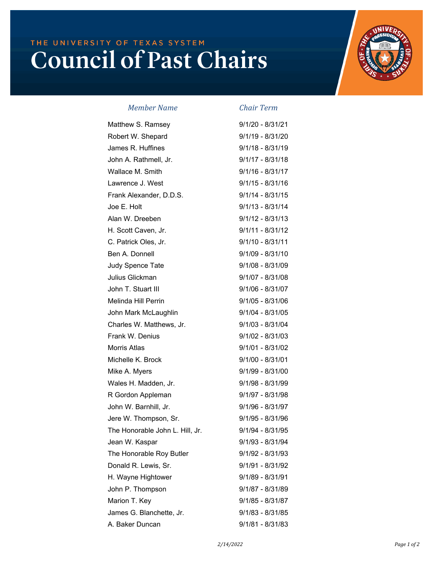## THE UNIVERSITY OF TEXAS SYSTEM **Council of Past Chairs**



*Member Name* **C** 

|  |  |  |  | hair Term |
|--|--|--|--|-----------|
|  |  |  |  |           |

| Matthew S. Ramsey               | $9/1/20 - 8/31/21$ |
|---------------------------------|--------------------|
| Robert W. Shepard               | $9/1/19 - 8/31/20$ |
| James R. Huffines               | $9/1/18 - 8/31/19$ |
| John A. Rathmell, Jr.           | $9/1/17 - 8/31/18$ |
| Wallace M. Smith                | $9/1/16 - 8/31/17$ |
| Lawrence J. West                | $9/1/15 - 8/31/16$ |
| Frank Alexander, D.D.S.         | $9/1/14 - 8/31/15$ |
| Joe E. Holt                     | $9/1/13 - 8/31/14$ |
| Alan W. Dreeben                 | $9/1/12 - 8/31/13$ |
| H. Scott Caven, Jr.             | $9/1/11 - 8/31/12$ |
| C. Patrick Oles, Jr.            | $9/1/10 - 8/31/11$ |
| Ben A. Donnell                  | $9/1/09 - 8/31/10$ |
| Judy Spence Tate                | $9/1/08 - 8/31/09$ |
| Julius Glickman                 | $9/1/07 - 8/31/08$ |
| John T. Stuart III              | $9/1/06 - 8/31/07$ |
| Melinda Hill Perrin             | $9/1/05 - 8/31/06$ |
| John Mark McLaughlin            | $9/1/04 - 8/31/05$ |
| Charles W. Matthews, Jr.        | $9/1/03 - 8/31/04$ |
| Frank W. Denius                 | $9/1/02 - 8/31/03$ |
| <b>Morris Atlas</b>             | $9/1/01 - 8/31/02$ |
| Michelle K. Brock               | $9/1/00 - 8/31/01$ |
| Mike A. Myers                   | $9/1/99 - 8/31/00$ |
| Wales H. Madden, Jr.            | 9/1/98 - 8/31/99   |
| R Gordon Appleman               | 9/1/97 - 8/31/98   |
| John W. Barnhill, Jr.           | $9/1/96 - 8/31/97$ |
| Jere W. Thompson, Sr.           | $9/1/95 - 8/31/96$ |
| The Honorable John L. Hill, Jr. | $9/1/94 - 8/31/95$ |
| Jean W. Kaspar                  | 9/1/93 - 8/31/94   |
| The Honorable Roy Butler        | 9/1/92 - 8/31/93   |
| Donald R. Lewis, Sr.            | 9/1/91 - 8/31/92   |
| H. Wayne Hightower              | 9/1/89 - 8/31/91   |
| John P. Thompson                | 9/1/87 - 8/31/89   |
| Marion T. Key                   | $9/1/85 - 8/31/87$ |
| James G. Blanchette, Jr.        | $9/1/83 - 8/31/85$ |
| A. Baker Duncan                 | $9/1/81 - 8/31/83$ |